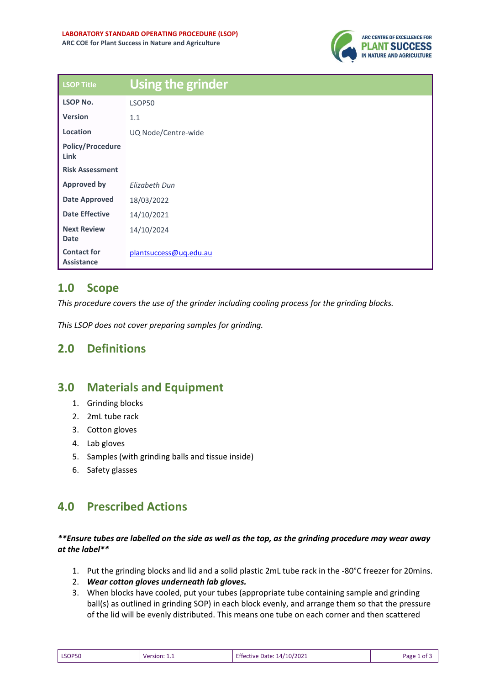

| <b>LSOP Title</b>                       | <b>Using the grinder</b> |
|-----------------------------------------|--------------------------|
| <b>LSOP No.</b>                         | <b>LSOP50</b>            |
| <b>Version</b>                          | 1.1                      |
| Location                                | UQ Node/Centre-wide      |
| <b>Policy/Procedure</b><br>Link         |                          |
| <b>Risk Assessment</b>                  |                          |
| <b>Approved by</b>                      | <b>Elizabeth Dun</b>     |
| <b>Date Approved</b>                    | 18/03/2022               |
| <b>Date Effective</b>                   | 14/10/2021               |
| <b>Next Review</b><br><b>Date</b>       | 14/10/2024               |
| <b>Contact for</b><br><b>Assistance</b> | plantsuccess@uq.edu.au   |

# **1.0 Scope**

*This procedure covers the use of the grinder including cooling process for the grinding blocks.*

*This LSOP does not cover preparing samples for grinding.*

## **2.0 Definitions**

## **3.0 Materials and Equipment**

- 1. Grinding blocks
- 2. 2mL tube rack
- 3. Cotton gloves
- 4. Lab gloves
- 5. Samples (with grinding balls and tissue inside)
- 6. Safety glasses

# **4.0 Prescribed Actions**

### *\*\*Ensure tubes are labelled on the side as well as the top, as the grinding procedure may wear away at the label\*\**

- 1. Put the grinding blocks and lid and a solid plastic 2mL tube rack in the -80°C freezer for 20mins.
- 2. *Wear cotton gloves underneath lab gloves.*
- 3. When blocks have cooled, put your tubes (appropriate tube containing sample and grinding ball(s) as outlined in grinding SOP) in each block evenly, and arrange them so that the pressure of the lid will be evenly distributed. This means one tube on each corner and then scattered

| LSOP50 | Version: $1.1$ | <b>Effective Date: 14/10/2021</b> | Page 1 of 3 |
|--------|----------------|-----------------------------------|-------------|
|--------|----------------|-----------------------------------|-------------|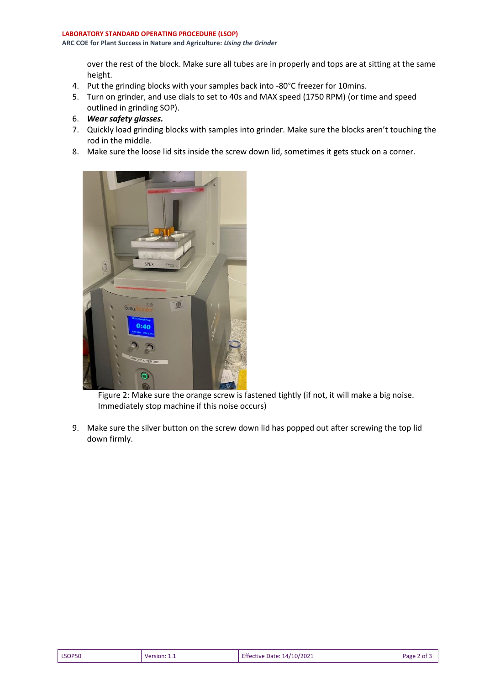over the rest of the block. Make sure all tubes are in properly and tops are at sitting at the same height.

- 4. Put the grinding blocks with your samples back into -80°C freezer for 10mins.
- 5. Turn on grinder, and use dials to set to 40s and MAX speed (1750 RPM) (or time and speed outlined in grinding SOP).
- 6. *Wear safety glasses.*
- 7. Quickly load grinding blocks with samples into grinder. Make sure the blocks aren't touching the rod in the middle.
- 8. Make sure the loose lid sits inside the screw down lid, sometimes it gets stuck on a corner.



Figure 2: Make sure the orange screw is fastened tightly (if not, it will make a big noise. Immediately stop machine if this noise occurs)

9. Make sure the silver button on the screw down lid has popped out after screwing the top lid down firmly.

| <b>LSOP50</b> | Version: 1.1 | <b>Effective Date: 14/10/2021</b> | Page 2 of 5 |
|---------------|--------------|-----------------------------------|-------------|
|---------------|--------------|-----------------------------------|-------------|